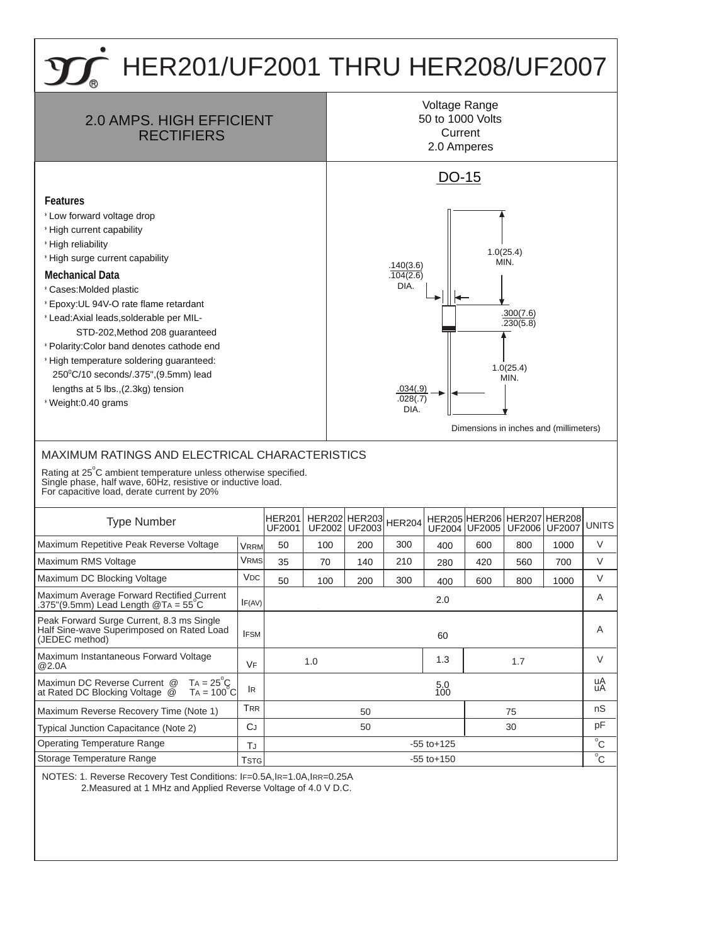## HER201/UF2001 THRU HER208/UF2007



NOTES: 1. Reverse Recovery Test Conditions: IF=0.5A,IR=1.0A,IRR=0.25A 2.Measured at 1 MHz and Applied Reverse Voltage of 4.0 V D.C.